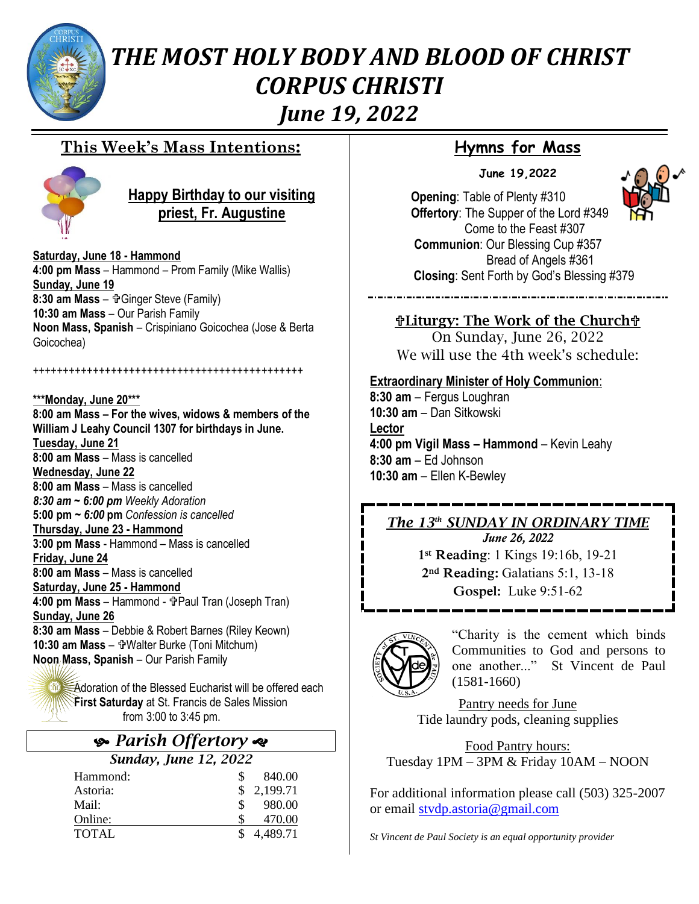

# *THE MOST HOLY BODY AND BLOOD OF CHRIST CORPUS CHRISTI June 19, 2022*

### **This Week's Mass Intentions:**



### **Happy Birthday to our visiting priest, Fr. Augustine**

**Saturday, June 18 - Hammond 4:00 pm Mass** – Hammond – Prom Family (Mike Wallis) **Sunday, June 19 8:30 am Mass** – Grigger Steve (Family) **10:30 am Mass** – Our Parish Family **Noon Mass, Spanish** – Crispiniano Goicochea (Jose & Berta Goicochea)

+++++++++++++++++++++++++++++++++++++++++++++

**\*\*\*Monday, June 20\*\*\* 8:00 am Mass – For the wives, widows & members of the William J Leahy Council 1307 for birthdays in June. Tuesday, June 21 8:00 am Mass** – Mass is cancelled **Wednesday, June 22 8:00 am Mass** – Mass is cancelled *8:30 am ~ 6:00 pm Weekly Adoration* **5:00 pm** *~ 6:00* **pm** *Confession is cancelled* **Thursday, June 23 - Hammond 3:00 pm Mass** - Hammond – Mass is cancelled **Friday, June 24 8:00 am Mass** – Mass is cancelled **Saturday, June 25 - Hammond 4:00 pm Mass - Hammond - 守Paul Tran (Joseph Tran) Sunday, June 26 8:30 am Mass** – Debbie & Robert Barnes (Riley Keown) 10:30 am Mass - **T**Walter Burke (Toni Mitchum) **Noon Mass, Spanish** – Our Parish Family

**M** Adoration of the Blessed Eucharist will be offered each **First Saturday** at St. Francis de Sales Mission from 3:00 to 3:45 pm.

## *Parish Offertory*

#### *Sunday, June 12, 2022*

| Hammond:     | S.  | 840.00     |
|--------------|-----|------------|
| Astoria:     |     | \$2,199.71 |
| Mail:        | \$. | 980.00     |
| Online:      |     | 470.00     |
| <b>TOTAL</b> |     | \$4,489.71 |

## **Hymns for Mass**

**June 19,2022**



**Opening**: Table of Plenty #310 **Offertory**: The Supper of the Lord #349 Come to the Feast #307 **Communion**: Our Blessing Cup #357 Bread of Angels #361  **Closing**: Sent Forth by God's Blessing #379

Liturgy: The Work of the Church On Sunday, June 26, 2022 We will use the 4th week's schedule:

#### **Extraordinary Minister of Holy Communion**:

**8:30 am** – Fergus Loughran **10:30 am** – Dan Sitkowski **Lector 4:00 pm Vigil Mass – Hammond** – Kevin Leahy **8:30 am** – Ed Johnson **10:30 am** – Ellen K-Bewley

### *The 13th SUNDAY IN ORDINARY TIME*

*June 26, 2022* **1st Reading**: 1 Kings 19:16b, 19-21 **2nd Reading:** Galatians 5:1, 13-18 **Gospel:** Luke 9:51-62



"Charity is the cement which binds Communities to God and persons to one another..." St Vincent de Paul (1581-1660)

Pantry needs for June Tide laundry pods, cleaning supplies

Food Pantry hours: Tuesday 1PM – 3PM & Friday 10AM – NOON

For additional information please call (503) 325-2007 or email [stvdp.astoria@gmail.com](mailto:stvdp.astoria@gmail.com)

*St Vincent de Paul Society is an equal opportunity provider*